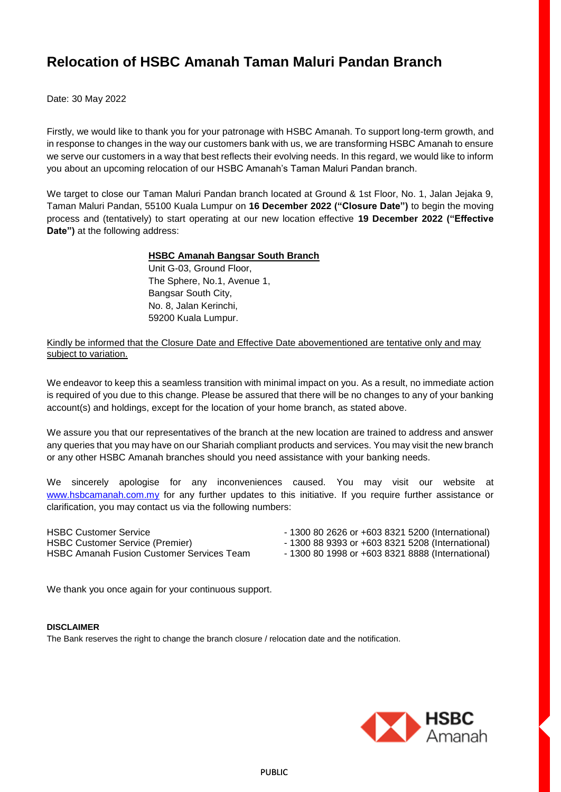# **Relocation of HSBC Amanah Taman Maluri Pandan Branch**

Date: 30 May 2022

Firstly, we would like to thank you for your patronage with HSBC Amanah. To support long-term growth, and in response to changes in the way our customers bank with us, we are transforming HSBC Amanah to ensure we serve our customers in a way that best reflects their evolving needs. In this regard, we would like to inform you about an upcoming relocation of our HSBC Amanah's Taman Maluri Pandan branch.

We target to close our Taman Maluri Pandan branch located at Ground & 1st Floor, No. 1, Jalan Jejaka 9, Taman Maluri Pandan, 55100 Kuala Lumpur on **16 December 2022 ("Closure Date")** to begin the moving process and (tentatively) to start operating at our new location effective **19 December 2022 ("Effective Date")** at the following address:

# **HSBC Amanah Bangsar South Branch**

Unit G-03, Ground Floor, The Sphere, No.1, Avenue 1, Bangsar South City, No. 8, Jalan Kerinchi, 59200 Kuala Lumpur.

Kindly be informed that the Closure Date and Effective Date abovementioned are tentative only and may subject to variation.

We endeavor to keep this a seamless transition with minimal impact on you. As a result, no immediate action is required of you due to this change. Please be assured that there will be no changes to any of your banking account(s) and holdings, except for the location of your home branch, as stated above.

We assure you that our representatives of the branch at the new location are trained to address and answer any queries that you may have on our Shariah compliant products and services. You may visit the new branch or any other HSBC Amanah branches should you need assistance with your banking needs.

We sincerely apologise for any inconveniences caused. You may visit our website at [www.hsbcamanah.com.my](http://www.hsbcamanah.com.my/) for any further updates to this initiative. If you require further assistance or clarification, you may contact us via the following numbers:

HSBC Customer Service - 1300 80 2626 or +603 8321 5200 (International) HSBC Customer Service (Premier) - 1300 88 9393 or +603 8321 5208 (International) HSBC Amanah Fusion Customer Services Team - 1300 80 1998 or +603 8321 8888 (International)

We thank you once again for your continuous support.

#### **DISCLAIMER**

The Bank reserves the right to change the branch closure / relocation date and the notification.

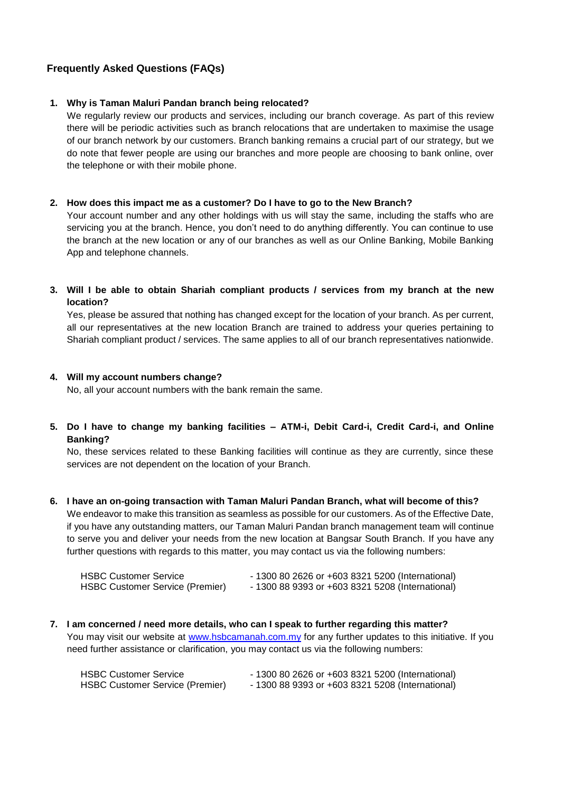# **Frequently Asked Questions (FAQs)**

# **1. Why is Taman Maluri Pandan branch being relocated?**

We regularly review our products and services, including our branch coverage. As part of this review there will be periodic activities such as branch relocations that are undertaken to maximise the usage of our branch network by our customers. Branch banking remains a crucial part of our strategy, but we do note that fewer people are using our branches and more people are choosing to bank online, over the telephone or with their mobile phone.

# **2. How does this impact me as a customer? Do I have to go to the New Branch?**

Your account number and any other holdings with us will stay the same, including the staffs who are servicing you at the branch. Hence, you don't need to do anything differently. You can continue to use the branch at the new location or any of our branches as well as our Online Banking, Mobile Banking App and telephone channels.

# **3. Will I be able to obtain Shariah compliant products / services from my branch at the new location?**

Yes, please be assured that nothing has changed except for the location of your branch. As per current, all our representatives at the new location Branch are trained to address your queries pertaining to Shariah compliant product / services. The same applies to all of our branch representatives nationwide.

# **4. Will my account numbers change?**

No, all your account numbers with the bank remain the same.

# **5. Do I have to change my banking facilities – ATM-i, Debit Card-i, Credit Card-i, and Online Banking?**

No, these services related to these Banking facilities will continue as they are currently, since these services are not dependent on the location of your Branch.

**6. I have an on-going transaction with Taman Maluri Pandan Branch, what will become of this?**  We endeavor to make this transition as seamless as possible for our customers. As of the Effective Date, if you have any outstanding matters, our Taman Maluri Pandan branch management team will continue to serve you and deliver your needs from the new location at Bangsar South Branch. If you have any further questions with regards to this matter, you may contact us via the following numbers:

| <b>HSBC Customer Service</b>           | - 1300 80 2626 or +603 8321 5200 (International) |
|----------------------------------------|--------------------------------------------------|
| <b>HSBC Customer Service (Premier)</b> | - 1300 88 9393 or +603 8321 5208 (International) |

**7. I am concerned / need more details, who can I speak to further regarding this matter?**  You may visit our website at [www.hsbcamanah.com.my](http://www.hsbcamanah.com.my/) for any further updates to this initiative. If you need further assistance or clarification, you may contact us via the following numbers:

| <b>HSBC Customer Service</b>           | $-1300802626$ or $+60383215200$ (International) |
|----------------------------------------|-------------------------------------------------|
| <b>HSBC Customer Service (Premier)</b> | $-1300889393$ or $+60383215208$ (International) |